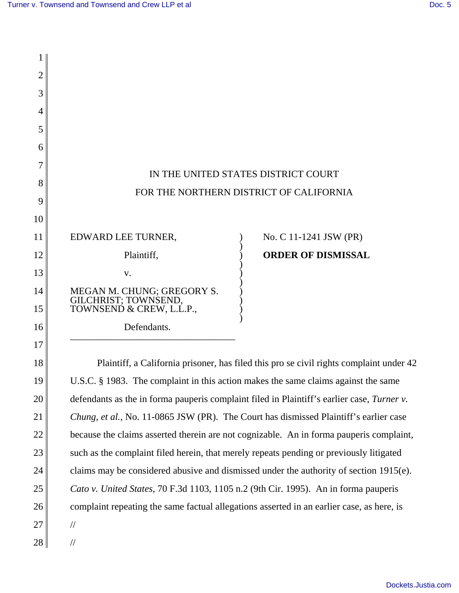| 2  |                                                                                            |                                                                                         |  |
|----|--------------------------------------------------------------------------------------------|-----------------------------------------------------------------------------------------|--|
| 3  |                                                                                            |                                                                                         |  |
| 4  |                                                                                            |                                                                                         |  |
| 5  |                                                                                            |                                                                                         |  |
| 6  |                                                                                            |                                                                                         |  |
| 7  |                                                                                            |                                                                                         |  |
| 8  | IN THE UNITED STATES DISTRICT COURT                                                        |                                                                                         |  |
| 9  |                                                                                            | FOR THE NORTHERN DISTRICT OF CALIFORNIA                                                 |  |
| 10 |                                                                                            |                                                                                         |  |
| 11 | EDWARD LEE TURNER,                                                                         | No. C 11-1241 JSW (PR)                                                                  |  |
| 12 | Plaintiff,                                                                                 | <b>ORDER OF DISMISSAL</b>                                                               |  |
| 13 | V.                                                                                         |                                                                                         |  |
| 14 | MEGAN M. CHUNG; GREGORY S. GILCHRIST; TOWNSEND,                                            |                                                                                         |  |
| 15 | TOWNSEND & CREW, L.L.P.,                                                                   |                                                                                         |  |
| 16 | Defendants.                                                                                |                                                                                         |  |
| 17 |                                                                                            |                                                                                         |  |
| 18 |                                                                                            | Plaintiff, a California prisoner, has filed this pro se civil rights complaint under 42 |  |
| 19 | U.S.C. § 1983. The complaint in this action makes the same claims against the same         |                                                                                         |  |
| 20 | defendants as the in forma pauperis complaint filed in Plaintiff's earlier case, Turner v. |                                                                                         |  |
| 21 | Chung, et al., No. 11-0865 JSW (PR). The Court has dismissed Plaintiff's earlier case      |                                                                                         |  |
| 22 | because the claims asserted therein are not cognizable. An in forma pauperis complaint,    |                                                                                         |  |
| 23 | such as the complaint filed herein, that merely repeats pending or previously litigated    |                                                                                         |  |
| 24 | claims may be considered abusive and dismissed under the authority of section 1915(e).     |                                                                                         |  |
| 25 | Cato v. United States, 70 F.3d 1103, 1105 n.2 (9th Cir. 1995). An in forma pauperis        |                                                                                         |  |
| 26 | complaint repeating the same factual allegations asserted in an earlier case, as here, is  |                                                                                         |  |
| 27 | $\frac{1}{2}$                                                                              |                                                                                         |  |
| 28 | $\frac{1}{2}$                                                                              |                                                                                         |  |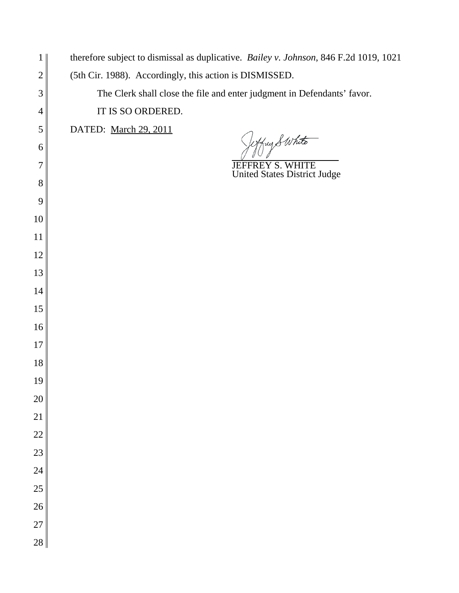| $\mathbf{1}$   | therefore subject to dismissal as duplicative. Bailey v. Johnson, 846 F.2d 1019, 1021 |
|----------------|---------------------------------------------------------------------------------------|
| $\overline{2}$ | (5th Cir. 1988). Accordingly, this action is DISMISSED.                               |
| $\mathfrak{Z}$ | The Clerk shall close the file and enter judgment in Defendants' favor.               |
| $\overline{4}$ | IT IS SO ORDERED.                                                                     |
| $\mathfrak{S}$ | DATED: March 29, 2011                                                                 |
| 6              | effug & White                                                                         |
| $\overline{7}$ | JEFFREY S. WHITE<br>United States District Judge                                      |
| $8\,$          |                                                                                       |
| 9              |                                                                                       |
| 10             |                                                                                       |
| 11             |                                                                                       |
| 12             |                                                                                       |
| 13             |                                                                                       |
| 14             |                                                                                       |
| 15             |                                                                                       |
| 16             |                                                                                       |
| 17             |                                                                                       |
| 18             |                                                                                       |
| 19             |                                                                                       |
| $20\,$         |                                                                                       |
| 21             |                                                                                       |
| $22\,$         |                                                                                       |
| 23             |                                                                                       |
| 24             |                                                                                       |
| 25             |                                                                                       |
| $26\,$         |                                                                                       |
| 27             |                                                                                       |
| 28             |                                                                                       |